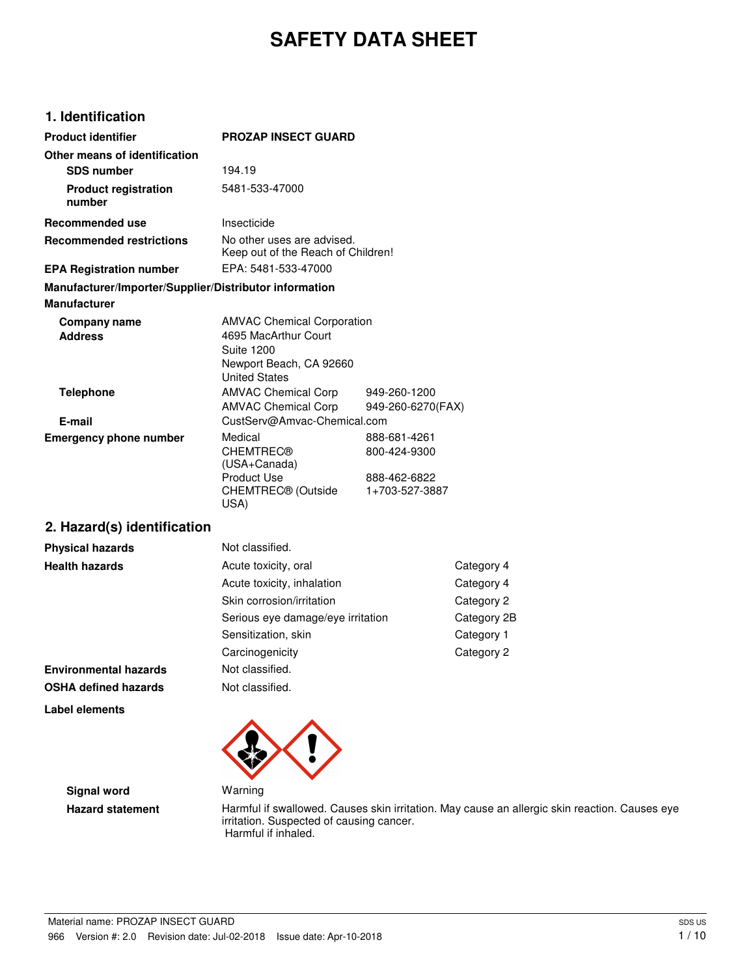# **SAFETY DATA SHEET**

### **1. Identification**

| <b>Product identifier</b>                              | <b>PROZAP INSECT GUARD</b>                                                                                                        |                                                                |
|--------------------------------------------------------|-----------------------------------------------------------------------------------------------------------------------------------|----------------------------------------------------------------|
| Other means of identification<br><b>SDS number</b>     | 194.19                                                                                                                            |                                                                |
| <b>Product registration</b><br>number                  | 5481-533-47000                                                                                                                    |                                                                |
| <b>Recommended use</b>                                 | Insecticide                                                                                                                       |                                                                |
| <b>Recommended restrictions</b>                        | No other uses are advised.<br>Keep out of the Reach of Children!                                                                  |                                                                |
| <b>EPA Registration number</b>                         | EPA: 5481-533-47000                                                                                                               |                                                                |
| Manufacturer/Importer/Supplier/Distributor information |                                                                                                                                   |                                                                |
| <b>Manufacturer</b>                                    |                                                                                                                                   |                                                                |
| Company name<br><b>Address</b>                         | <b>AMVAC Chemical Corporation</b><br>4695 MacArthur Court<br><b>Suite 1200</b><br>Newport Beach, CA 92660<br><b>United States</b> |                                                                |
| <b>Telephone</b>                                       | <b>AMVAC Chemical Corp</b><br><b>AMVAC Chemical Corp</b>                                                                          | 949-260-1200<br>949-260-6270(FAX)                              |
| E-mail                                                 | CustServ@Amvac-Chemical.com                                                                                                       |                                                                |
| <b>Emergency phone number</b>                          | Medical<br><b>CHEMTREC®</b><br>(USA+Canada)<br><b>Product Use</b><br>CHEMTREC® (Outside<br>USA)                                   | 888-681-4261<br>800-424-9300<br>888-462-6822<br>1+703-527-3887 |

### **2. Hazard(s) identification**

| <b>Physical hazards</b>      | Not classified.                   |             |
|------------------------------|-----------------------------------|-------------|
| <b>Health hazards</b>        | Acute toxicity, oral              | Category 4  |
|                              | Acute toxicity, inhalation        | Category 4  |
|                              | Skin corrosion/irritation         | Category 2  |
|                              | Serious eye damage/eye irritation | Category 2B |
|                              | Sensitization, skin               | Category 1  |
|                              | Carcinogenicity                   | Category 2  |
| <b>Environmental hazards</b> | Not classified.                   |             |
| <b>OSHA defined hazards</b>  | Not classified.                   |             |
| Label elements               |                                   |             |



**Signal word Warning** 

Hazard statement **Harmful if swallowed. Causes skin irritation**. May cause an allergic skin reaction. Causes eye irritation. Suspected of causing cancer. Harmful if inhaled.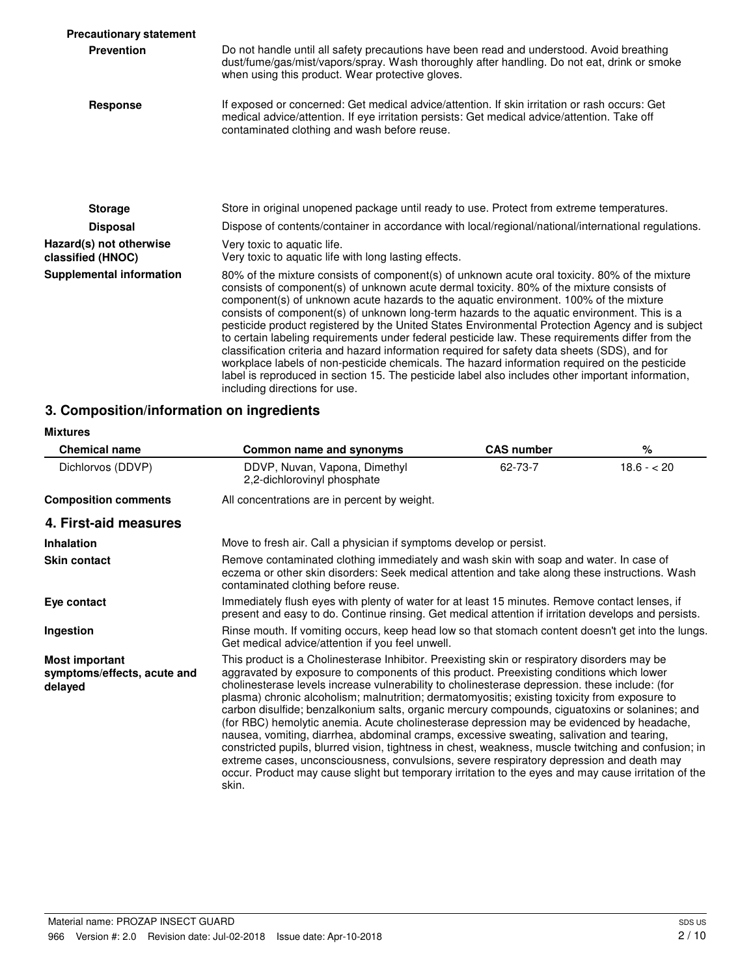| <b>Precautionary statement</b>               |                                                                                                                                                                                                                                                                                                                                                                                                                                                                                                                                                                                                                                                                                                                                                                                                                                                                                                                                     |
|----------------------------------------------|-------------------------------------------------------------------------------------------------------------------------------------------------------------------------------------------------------------------------------------------------------------------------------------------------------------------------------------------------------------------------------------------------------------------------------------------------------------------------------------------------------------------------------------------------------------------------------------------------------------------------------------------------------------------------------------------------------------------------------------------------------------------------------------------------------------------------------------------------------------------------------------------------------------------------------------|
| <b>Prevention</b>                            | Do not handle until all safety precautions have been read and understood. Avoid breathing<br>dust/fume/gas/mist/vapors/spray. Wash thoroughly after handling. Do not eat, drink or smoke<br>when using this product. Wear protective gloves.                                                                                                                                                                                                                                                                                                                                                                                                                                                                                                                                                                                                                                                                                        |
| Response                                     | If exposed or concerned: Get medical advice/attention. If skin irritation or rash occurs: Get<br>medical advice/attention. If eye irritation persists: Get medical advice/attention. Take off<br>contaminated clothing and wash before reuse.                                                                                                                                                                                                                                                                                                                                                                                                                                                                                                                                                                                                                                                                                       |
|                                              |                                                                                                                                                                                                                                                                                                                                                                                                                                                                                                                                                                                                                                                                                                                                                                                                                                                                                                                                     |
| <b>Storage</b>                               | Store in original unopened package until ready to use. Protect from extreme temperatures.                                                                                                                                                                                                                                                                                                                                                                                                                                                                                                                                                                                                                                                                                                                                                                                                                                           |
| <b>Disposal</b>                              | Dispose of contents/container in accordance with local/regional/national/international regulations.                                                                                                                                                                                                                                                                                                                                                                                                                                                                                                                                                                                                                                                                                                                                                                                                                                 |
| Hazard(s) not otherwise<br>classified (HNOC) | Very toxic to aquatic life.<br>Very toxic to aquatic life with long lasting effects.                                                                                                                                                                                                                                                                                                                                                                                                                                                                                                                                                                                                                                                                                                                                                                                                                                                |
| <b>Supplemental information</b>              | 80% of the mixture consists of component(s) of unknown acute oral toxicity. 80% of the mixture<br>consists of component(s) of unknown acute dermal toxicity. 80% of the mixture consists of<br>component(s) of unknown acute hazards to the aquatic environment. 100% of the mixture<br>consists of component(s) of unknown long-term hazards to the aquatic environment. This is a<br>pesticide product registered by the United States Environmental Protection Agency and is subject<br>to certain labeling requirements under federal pesticide law. These requirements differ from the<br>classification criteria and hazard information required for safety data sheets (SDS), and for<br>workplace labels of non-pesticide chemicals. The hazard information required on the pesticide<br>label is reproduced in section 15. The pesticide label also includes other important information,<br>including directions for use. |

### **3. Composition/information on ingredients**

#### **Mixtures**

| <b>Chemical name</b>                                            | Common name and synonyms                                                                                                                                                                                                                                                                                                                                                                                                                                                                                                                                                                                                                                                                                                                                                                                                                                                                                                                                                                                     | <b>CAS number</b> | $\%$          |
|-----------------------------------------------------------------|--------------------------------------------------------------------------------------------------------------------------------------------------------------------------------------------------------------------------------------------------------------------------------------------------------------------------------------------------------------------------------------------------------------------------------------------------------------------------------------------------------------------------------------------------------------------------------------------------------------------------------------------------------------------------------------------------------------------------------------------------------------------------------------------------------------------------------------------------------------------------------------------------------------------------------------------------------------------------------------------------------------|-------------------|---------------|
| Dichlorvos (DDVP)                                               | DDVP, Nuvan, Vapona, Dimethyl<br>2.2-dichlorovinyl phosphate                                                                                                                                                                                                                                                                                                                                                                                                                                                                                                                                                                                                                                                                                                                                                                                                                                                                                                                                                 | 62-73-7           | $18.6 - < 20$ |
| <b>Composition comments</b>                                     | All concentrations are in percent by weight.                                                                                                                                                                                                                                                                                                                                                                                                                                                                                                                                                                                                                                                                                                                                                                                                                                                                                                                                                                 |                   |               |
| 4. First-aid measures                                           |                                                                                                                                                                                                                                                                                                                                                                                                                                                                                                                                                                                                                                                                                                                                                                                                                                                                                                                                                                                                              |                   |               |
| <b>Inhalation</b>                                               | Move to fresh air. Call a physician if symptoms develop or persist.                                                                                                                                                                                                                                                                                                                                                                                                                                                                                                                                                                                                                                                                                                                                                                                                                                                                                                                                          |                   |               |
| <b>Skin contact</b>                                             | Remove contaminated clothing immediately and wash skin with soap and water. In case of<br>eczema or other skin disorders: Seek medical attention and take along these instructions. Wash<br>contaminated clothing before reuse.                                                                                                                                                                                                                                                                                                                                                                                                                                                                                                                                                                                                                                                                                                                                                                              |                   |               |
| Eye contact                                                     | Immediately flush eyes with plenty of water for at least 15 minutes. Remove contact lenses, if<br>present and easy to do. Continue rinsing. Get medical attention if irritation develops and persists.                                                                                                                                                                                                                                                                                                                                                                                                                                                                                                                                                                                                                                                                                                                                                                                                       |                   |               |
| Ingestion                                                       | Rinse mouth. If vomiting occurs, keep head low so that stomach content doesn't get into the lungs.<br>Get medical advice/attention if you feel unwell.                                                                                                                                                                                                                                                                                                                                                                                                                                                                                                                                                                                                                                                                                                                                                                                                                                                       |                   |               |
| <b>Most important</b><br>symptoms/effects, acute and<br>delayed | This product is a Cholinesterase Inhibitor. Preexisting skin or respiratory disorders may be<br>aggravated by exposure to components of this product. Preexisting conditions which lower<br>cholinesterase levels increase vulnerability to cholinesterase depression. these include: (for<br>plasma) chronic alcoholism; malnutrition; dermatomyositis; existing toxicity from exposure to<br>carbon disulfide; benzalkonium salts, organic mercury compounds, ciguatoxins or solanines; and<br>(for RBC) hemolytic anemia. Acute cholinesterase depression may be evidenced by headache,<br>nausea, vomiting, diarrhea, abdominal cramps, excessive sweating, salivation and tearing,<br>constricted pupils, blurred vision, tightness in chest, weakness, muscle twitching and confusion; in<br>extreme cases, unconsciousness, convulsions, severe respiratory depression and death may<br>occur. Product may cause slight but temporary irritation to the eyes and may cause irritation of the<br>skin. |                   |               |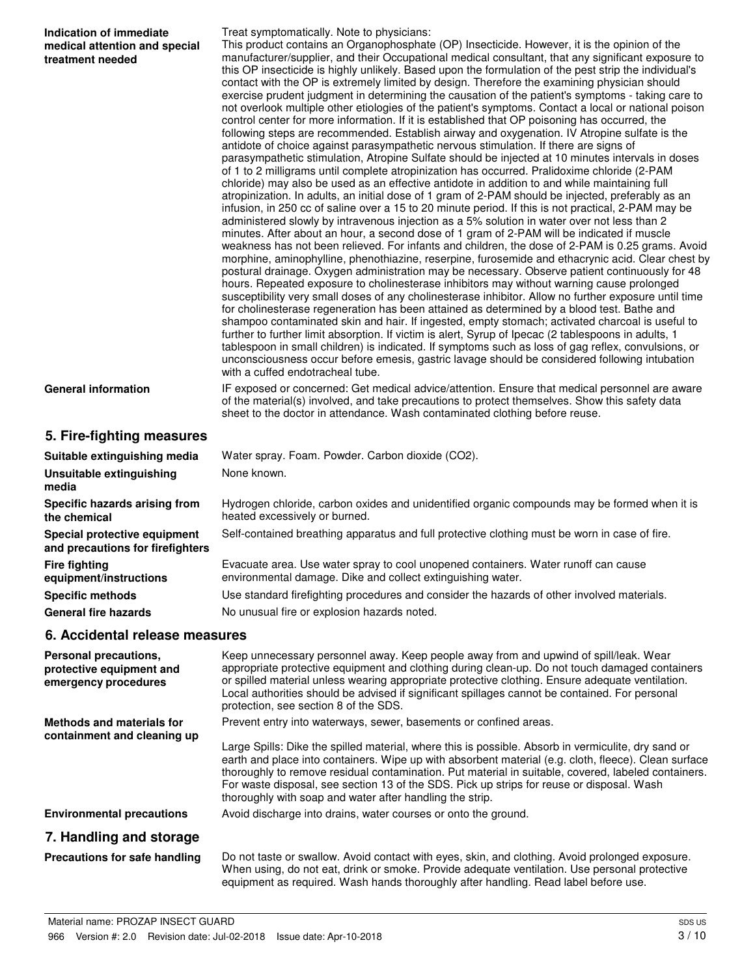| Indication of immediate<br>medical attention and special<br>treatment needed | Treat symptomatically. Note to physicians:<br>This product contains an Organophosphate (OP) Insecticide. However, it is the opinion of the<br>manufacturer/supplier, and their Occupational medical consultant, that any significant exposure to<br>this OP insecticide is highly unlikely. Based upon the formulation of the pest strip the individual's<br>contact with the OP is extremely limited by design. Therefore the examining physician should<br>exercise prudent judgment in determining the causation of the patient's symptoms - taking care to<br>not overlook multiple other etiologies of the patient's symptoms. Contact a local or national poison<br>control center for more information. If it is established that OP poisoning has occurred, the<br>following steps are recommended. Establish airway and oxygenation. IV Atropine sulfate is the<br>antidote of choice against parasympathetic nervous stimulation. If there are signs of<br>parasympathetic stimulation, Atropine Sulfate should be injected at 10 minutes intervals in doses<br>of 1 to 2 milligrams until complete atropinization has occurred. Pralidoxime chloride (2-PAM<br>chloride) may also be used as an effective antidote in addition to and while maintaining full<br>atropinization. In adults, an initial dose of 1 gram of 2-PAM should be injected, preferably as an<br>infusion, in 250 cc of saline over a 15 to 20 minute period. If this is not practical, 2-PAM may be<br>administered slowly by intravenous injection as a 5% solution in water over not less than 2<br>minutes. After about an hour, a second dose of 1 gram of 2-PAM will be indicated if muscle<br>weakness has not been relieved. For infants and children, the dose of 2-PAM is 0.25 grams. Avoid<br>morphine, aminophylline, phenothiazine, reserpine, furosemide and ethacrynic acid. Clear chest by<br>postural drainage. Oxygen administration may be necessary. Observe patient continuously for 48<br>hours. Repeated exposure to cholinesterase inhibitors may without warning cause prolonged<br>susceptibility very small doses of any cholinesterase inhibitor. Allow no further exposure until time<br>for cholinesterase regeneration has been attained as determined by a blood test. Bathe and<br>shampoo contaminated skin and hair. If ingested, empty stomach; activated charcoal is useful to<br>further to further limit absorption. If victim is alert, Syrup of Ipecac (2 tablespoons in adults, 1<br>tablespoon in small children) is indicated. If symptoms such as loss of gag reflex, convulsions, or<br>unconsciousness occur before emesis, gastric lavage should be considered following intubation<br>with a cuffed endotracheal tube. |
|------------------------------------------------------------------------------|---------------------------------------------------------------------------------------------------------------------------------------------------------------------------------------------------------------------------------------------------------------------------------------------------------------------------------------------------------------------------------------------------------------------------------------------------------------------------------------------------------------------------------------------------------------------------------------------------------------------------------------------------------------------------------------------------------------------------------------------------------------------------------------------------------------------------------------------------------------------------------------------------------------------------------------------------------------------------------------------------------------------------------------------------------------------------------------------------------------------------------------------------------------------------------------------------------------------------------------------------------------------------------------------------------------------------------------------------------------------------------------------------------------------------------------------------------------------------------------------------------------------------------------------------------------------------------------------------------------------------------------------------------------------------------------------------------------------------------------------------------------------------------------------------------------------------------------------------------------------------------------------------------------------------------------------------------------------------------------------------------------------------------------------------------------------------------------------------------------------------------------------------------------------------------------------------------------------------------------------------------------------------------------------------------------------------------------------------------------------------------------------------------------------------------------------------------------------------------------------------------------------------------------------------------------------------------------------------------------------------------------------------------------------------------------------------------------------------------------------------------|
| <b>General information</b>                                                   | IF exposed or concerned: Get medical advice/attention. Ensure that medical personnel are aware<br>of the material(s) involved, and take precautions to protect themselves. Show this safety data<br>sheet to the doctor in attendance. Wash contaminated clothing before reuse.                                                                                                                                                                                                                                                                                                                                                                                                                                                                                                                                                                                                                                                                                                                                                                                                                                                                                                                                                                                                                                                                                                                                                                                                                                                                                                                                                                                                                                                                                                                                                                                                                                                                                                                                                                                                                                                                                                                                                                                                                                                                                                                                                                                                                                                                                                                                                                                                                                                                         |
| 5. Fire-fighting measures                                                    |                                                                                                                                                                                                                                                                                                                                                                                                                                                                                                                                                                                                                                                                                                                                                                                                                                                                                                                                                                                                                                                                                                                                                                                                                                                                                                                                                                                                                                                                                                                                                                                                                                                                                                                                                                                                                                                                                                                                                                                                                                                                                                                                                                                                                                                                                                                                                                                                                                                                                                                                                                                                                                                                                                                                                         |
| Suitable extinguishing media                                                 | Water spray. Foam. Powder. Carbon dioxide (CO2).                                                                                                                                                                                                                                                                                                                                                                                                                                                                                                                                                                                                                                                                                                                                                                                                                                                                                                                                                                                                                                                                                                                                                                                                                                                                                                                                                                                                                                                                                                                                                                                                                                                                                                                                                                                                                                                                                                                                                                                                                                                                                                                                                                                                                                                                                                                                                                                                                                                                                                                                                                                                                                                                                                        |
| Unsuitable extinguishing<br>media                                            | None known.                                                                                                                                                                                                                                                                                                                                                                                                                                                                                                                                                                                                                                                                                                                                                                                                                                                                                                                                                                                                                                                                                                                                                                                                                                                                                                                                                                                                                                                                                                                                                                                                                                                                                                                                                                                                                                                                                                                                                                                                                                                                                                                                                                                                                                                                                                                                                                                                                                                                                                                                                                                                                                                                                                                                             |
| Specific hazards arising from<br>the chemical                                | Hydrogen chloride, carbon oxides and unidentified organic compounds may be formed when it is<br>heated excessively or burned.                                                                                                                                                                                                                                                                                                                                                                                                                                                                                                                                                                                                                                                                                                                                                                                                                                                                                                                                                                                                                                                                                                                                                                                                                                                                                                                                                                                                                                                                                                                                                                                                                                                                                                                                                                                                                                                                                                                                                                                                                                                                                                                                                                                                                                                                                                                                                                                                                                                                                                                                                                                                                           |
| Special protective equipment<br>and precautions for firefighters             | Self-contained breathing apparatus and full protective clothing must be worn in case of fire.                                                                                                                                                                                                                                                                                                                                                                                                                                                                                                                                                                                                                                                                                                                                                                                                                                                                                                                                                                                                                                                                                                                                                                                                                                                                                                                                                                                                                                                                                                                                                                                                                                                                                                                                                                                                                                                                                                                                                                                                                                                                                                                                                                                                                                                                                                                                                                                                                                                                                                                                                                                                                                                           |
| <b>Fire fighting</b><br>equipment/instructions                               | Evacuate area. Use water spray to cool unopened containers. Water runoff can cause<br>environmental damage. Dike and collect extinguishing water.                                                                                                                                                                                                                                                                                                                                                                                                                                                                                                                                                                                                                                                                                                                                                                                                                                                                                                                                                                                                                                                                                                                                                                                                                                                                                                                                                                                                                                                                                                                                                                                                                                                                                                                                                                                                                                                                                                                                                                                                                                                                                                                                                                                                                                                                                                                                                                                                                                                                                                                                                                                                       |
| <b>Specific methods</b>                                                      | Use standard firefighting procedures and consider the hazards of other involved materials.                                                                                                                                                                                                                                                                                                                                                                                                                                                                                                                                                                                                                                                                                                                                                                                                                                                                                                                                                                                                                                                                                                                                                                                                                                                                                                                                                                                                                                                                                                                                                                                                                                                                                                                                                                                                                                                                                                                                                                                                                                                                                                                                                                                                                                                                                                                                                                                                                                                                                                                                                                                                                                                              |
| <b>General fire hazards</b>                                                  | No unusual fire or explosion hazards noted.                                                                                                                                                                                                                                                                                                                                                                                                                                                                                                                                                                                                                                                                                                                                                                                                                                                                                                                                                                                                                                                                                                                                                                                                                                                                                                                                                                                                                                                                                                                                                                                                                                                                                                                                                                                                                                                                                                                                                                                                                                                                                                                                                                                                                                                                                                                                                                                                                                                                                                                                                                                                                                                                                                             |
| 6. Accidental release measures                                               |                                                                                                                                                                                                                                                                                                                                                                                                                                                                                                                                                                                                                                                                                                                                                                                                                                                                                                                                                                                                                                                                                                                                                                                                                                                                                                                                                                                                                                                                                                                                                                                                                                                                                                                                                                                                                                                                                                                                                                                                                                                                                                                                                                                                                                                                                                                                                                                                                                                                                                                                                                                                                                                                                                                                                         |
| Personal precautions,<br>protective equipment and<br>emergency procedures    | Keep unnecessary personnel away. Keep people away from and upwind of spill/leak. Wear<br>appropriate protective equipment and clothing during clean-up. Do not touch damaged containers<br>or spilled material unless wearing appropriate protective clothing. Ensure adequate ventilation.<br>Local authorities should be advised if significant spillages cannot be contained. For personal<br>protection, see section 8 of the SDS.                                                                                                                                                                                                                                                                                                                                                                                                                                                                                                                                                                                                                                                                                                                                                                                                                                                                                                                                                                                                                                                                                                                                                                                                                                                                                                                                                                                                                                                                                                                                                                                                                                                                                                                                                                                                                                                                                                                                                                                                                                                                                                                                                                                                                                                                                                                  |
| <b>Methods and materials for</b>                                             | Prevent entry into waterways, sewer, basements or confined areas.                                                                                                                                                                                                                                                                                                                                                                                                                                                                                                                                                                                                                                                                                                                                                                                                                                                                                                                                                                                                                                                                                                                                                                                                                                                                                                                                                                                                                                                                                                                                                                                                                                                                                                                                                                                                                                                                                                                                                                                                                                                                                                                                                                                                                                                                                                                                                                                                                                                                                                                                                                                                                                                                                       |
| containment and cleaning up                                                  | Large Spills: Dike the spilled material, where this is possible. Absorb in vermiculite, dry sand or<br>earth and place into containers. Wipe up with absorbent material (e.g. cloth, fleece). Clean surface<br>thoroughly to remove residual contamination. Put material in suitable, covered, labeled containers.<br>For waste disposal, see section 13 of the SDS. Pick up strips for reuse or disposal. Wash<br>thoroughly with soap and water after handling the strip.                                                                                                                                                                                                                                                                                                                                                                                                                                                                                                                                                                                                                                                                                                                                                                                                                                                                                                                                                                                                                                                                                                                                                                                                                                                                                                                                                                                                                                                                                                                                                                                                                                                                                                                                                                                                                                                                                                                                                                                                                                                                                                                                                                                                                                                                             |
| <b>Environmental precautions</b>                                             | Avoid discharge into drains, water courses or onto the ground.                                                                                                                                                                                                                                                                                                                                                                                                                                                                                                                                                                                                                                                                                                                                                                                                                                                                                                                                                                                                                                                                                                                                                                                                                                                                                                                                                                                                                                                                                                                                                                                                                                                                                                                                                                                                                                                                                                                                                                                                                                                                                                                                                                                                                                                                                                                                                                                                                                                                                                                                                                                                                                                                                          |
| 7. Handling and storage                                                      |                                                                                                                                                                                                                                                                                                                                                                                                                                                                                                                                                                                                                                                                                                                                                                                                                                                                                                                                                                                                                                                                                                                                                                                                                                                                                                                                                                                                                                                                                                                                                                                                                                                                                                                                                                                                                                                                                                                                                                                                                                                                                                                                                                                                                                                                                                                                                                                                                                                                                                                                                                                                                                                                                                                                                         |
| Precautions for safe handling                                                | Do not taste or swallow. Avoid contact with eyes, skin, and clothing. Avoid prolonged exposure.<br>When using, do not eat, drink or smoke. Provide adequate ventilation. Use personal protective                                                                                                                                                                                                                                                                                                                                                                                                                                                                                                                                                                                                                                                                                                                                                                                                                                                                                                                                                                                                                                                                                                                                                                                                                                                                                                                                                                                                                                                                                                                                                                                                                                                                                                                                                                                                                                                                                                                                                                                                                                                                                                                                                                                                                                                                                                                                                                                                                                                                                                                                                        |

equipment as required. Wash hands thoroughly after handling. Read label before use.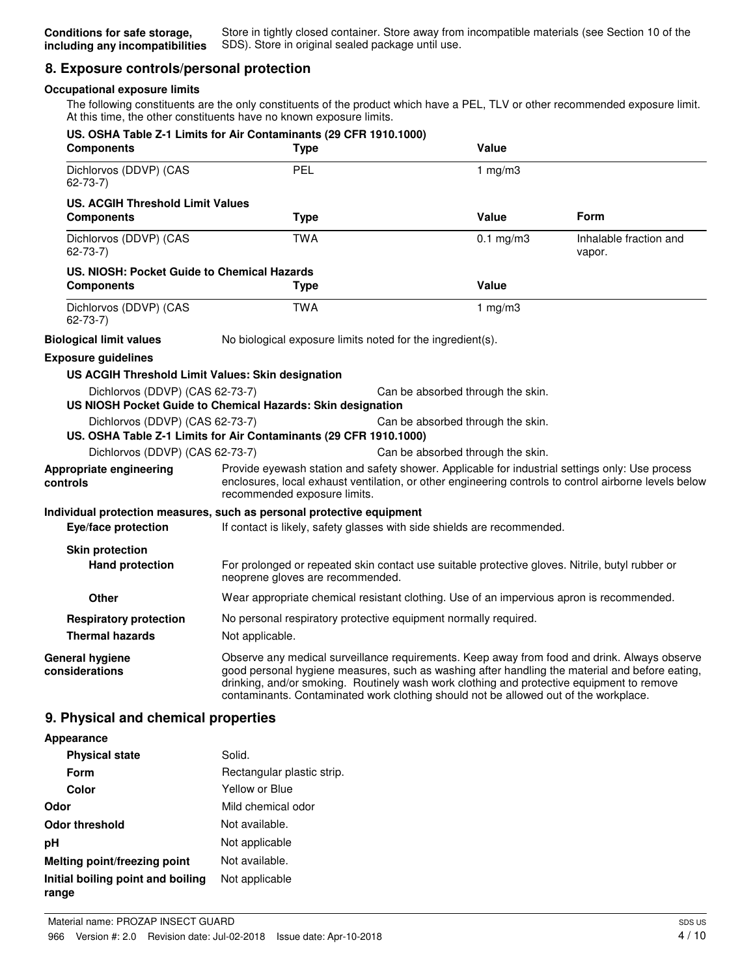### **8. Exposure controls/personal protection**

#### **Occupational exposure limits**

The following constituents are the only constituents of the product which have a PEL, TLV or other recommended exposure limit. At this time, the other constituents have no known exposure limits.

| US. OSHA Table Z-1 Limits for Air Contaminants (29 CFR 1910.1000)<br><b>Components</b>               | <b>Type</b>                                                | Value                                                                                                                                                                             |                                                                                                                                                                                                          |
|------------------------------------------------------------------------------------------------------|------------------------------------------------------------|-----------------------------------------------------------------------------------------------------------------------------------------------------------------------------------|----------------------------------------------------------------------------------------------------------------------------------------------------------------------------------------------------------|
| Dichlorvos (DDVP) (CAS<br>$62 - 73 - 7$                                                              | PEL                                                        | 1 $mg/m3$                                                                                                                                                                         |                                                                                                                                                                                                          |
| <b>US. ACGIH Threshold Limit Values</b>                                                              |                                                            |                                                                                                                                                                                   |                                                                                                                                                                                                          |
| <b>Components</b>                                                                                    | <b>Type</b>                                                | Value                                                                                                                                                                             | <b>Form</b>                                                                                                                                                                                              |
| Dichlorvos (DDVP) (CAS<br>$62 - 73 - 7$                                                              | <b>TWA</b>                                                 | $0.1$ mg/m $3$                                                                                                                                                                    | Inhalable fraction and<br>vapor.                                                                                                                                                                         |
| US. NIOSH: Pocket Guide to Chemical Hazards<br><b>Components</b>                                     | <b>Type</b>                                                | <b>Value</b>                                                                                                                                                                      |                                                                                                                                                                                                          |
| Dichlorvos (DDVP) (CAS<br>$62 - 73 - 7$                                                              | <b>TWA</b>                                                 | 1 $mg/m3$                                                                                                                                                                         |                                                                                                                                                                                                          |
| <b>Biological limit values</b>                                                                       | No biological exposure limits noted for the ingredient(s). |                                                                                                                                                                                   |                                                                                                                                                                                                          |
| <b>Exposure guidelines</b>                                                                           |                                                            |                                                                                                                                                                                   |                                                                                                                                                                                                          |
| US ACGIH Threshold Limit Values: Skin designation                                                    |                                                            |                                                                                                                                                                                   |                                                                                                                                                                                                          |
| Dichlorvos (DDVP) (CAS 62-73-7)<br>US NIOSH Pocket Guide to Chemical Hazards: Skin designation       |                                                            | Can be absorbed through the skin.                                                                                                                                                 |                                                                                                                                                                                                          |
| Dichlorvos (DDVP) (CAS 62-73-7)<br>US. OSHA Table Z-1 Limits for Air Contaminants (29 CFR 1910.1000) |                                                            | Can be absorbed through the skin.                                                                                                                                                 |                                                                                                                                                                                                          |
| Dichlorvos (DDVP) (CAS 62-73-7)                                                                      |                                                            | Can be absorbed through the skin.                                                                                                                                                 |                                                                                                                                                                                                          |
| Appropriate engineering<br>controls                                                                  | recommended exposure limits.                               |                                                                                                                                                                                   | Provide eyewash station and safety shower. Applicable for industrial settings only: Use process<br>enclosures, local exhaust ventilation, or other engineering controls to control airborne levels below |
| Individual protection measures, such as personal protective equipment                                |                                                            |                                                                                                                                                                                   |                                                                                                                                                                                                          |
| Eye/face protection                                                                                  |                                                            | If contact is likely, safety glasses with side shields are recommended.                                                                                                           |                                                                                                                                                                                                          |
| <b>Skin protection</b><br><b>Hand protection</b>                                                     | neoprene gloves are recommended.                           | For prolonged or repeated skin contact use suitable protective gloves. Nitrile, butyl rubber or                                                                                   |                                                                                                                                                                                                          |
| <b>Other</b>                                                                                         |                                                            | Wear appropriate chemical resistant clothing. Use of an impervious apron is recommended.                                                                                          |                                                                                                                                                                                                          |
| <b>Respiratory protection</b><br><b>Thermal hazards</b>                                              | Not applicable.                                            | No personal respiratory protective equipment normally required.                                                                                                                   |                                                                                                                                                                                                          |
| <b>General hygiene</b><br>considerations                                                             |                                                            | drinking, and/or smoking. Routinely wash work clothing and protective equipment to remove<br>contaminants. Contaminated work clothing should not be allowed out of the workplace. | Observe any medical surveillance requirements. Keep away from food and drink. Always observe<br>good personal hygiene measures, such as washing after handling the material and before eating,           |
| 9. Physical and chemical properties                                                                  |                                                            |                                                                                                                                                                                   |                                                                                                                                                                                                          |
| Appearance                                                                                           |                                                            |                                                                                                                                                                                   |                                                                                                                                                                                                          |

| <b>Physical state</b>                      | Solid.                     |
|--------------------------------------------|----------------------------|
| Form                                       | Rectangular plastic strip. |
| Color                                      | Yellow or Blue             |
| Odor                                       | Mild chemical odor         |
| <b>Odor threshold</b>                      | Not available.             |
| рH                                         | Not applicable             |
| Melting point/freezing point               | Not available.             |
| Initial boiling point and boiling<br>range | Not applicable             |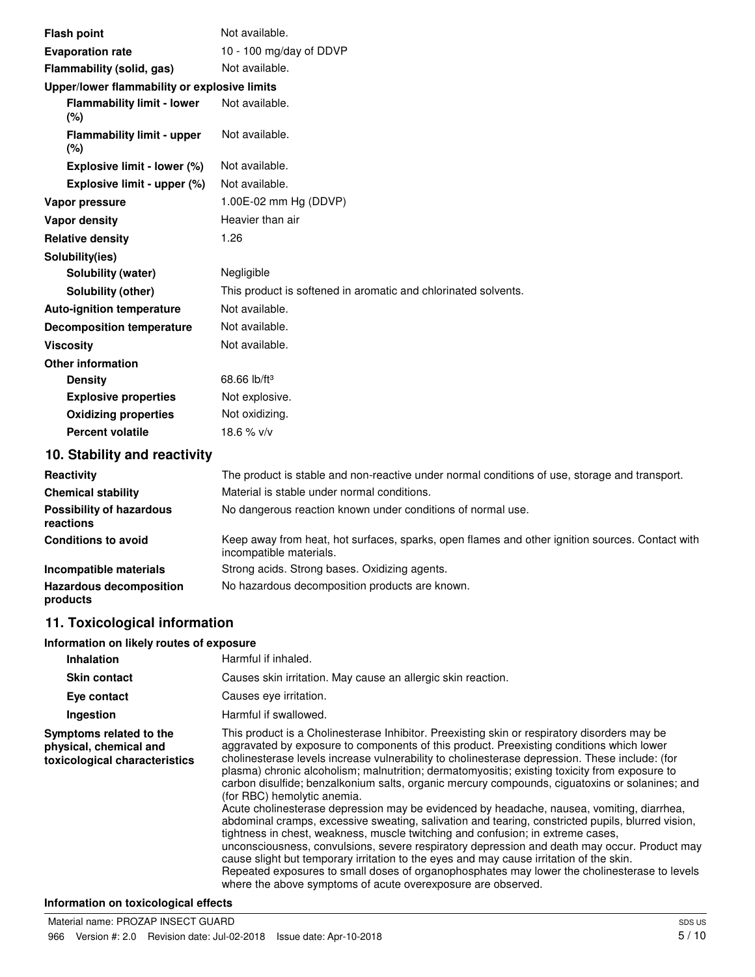| <b>Flash point</b>                           | Not available.                                                 |
|----------------------------------------------|----------------------------------------------------------------|
| <b>Evaporation rate</b>                      | 10 - 100 mg/day of DDVP                                        |
| Flammability (solid, gas)                    | Not available.                                                 |
| Upper/lower flammability or explosive limits |                                                                |
| <b>Flammability limit - lower</b><br>(%)     | Not available.                                                 |
| <b>Flammability limit - upper</b><br>(%)     | Not available.                                                 |
| Explosive limit - lower (%)                  | Not available.                                                 |
| Explosive limit - upper (%)                  | Not available.                                                 |
| Vapor pressure                               | 1.00E-02 mm Hg (DDVP)                                          |
| <b>Vapor density</b>                         | Heavier than air                                               |
| <b>Relative density</b>                      | 1.26                                                           |
| Solubility(ies)                              |                                                                |
| Solubility (water)                           | Negligible                                                     |
| Solubility (other)                           | This product is softened in aromatic and chlorinated solvents. |
| <b>Auto-ignition temperature</b>             | Not available.                                                 |
| <b>Decomposition temperature</b>             | Not available.                                                 |
| <b>Viscosity</b>                             | Not available.                                                 |
| <b>Other information</b>                     |                                                                |
| <b>Density</b>                               | 68.66 lb/ft <sup>3</sup>                                       |
| <b>Explosive properties</b>                  | Not explosive.                                                 |
| <b>Oxidizing properties</b>                  | Not oxidizing.                                                 |
| <b>Percent volatile</b>                      | 18.6 % v/v                                                     |
| 10. Stability and reactivity                 |                                                                |

| Reactivity                                   | The product is stable and non-reactive under normal conditions of use, storage and transport.                              |
|----------------------------------------------|----------------------------------------------------------------------------------------------------------------------------|
| <b>Chemical stability</b>                    | Material is stable under normal conditions.                                                                                |
| <b>Possibility of hazardous</b><br>reactions | No dangerous reaction known under conditions of normal use.                                                                |
| <b>Conditions to avoid</b>                   | Keep away from heat, hot surfaces, sparks, open flames and other ignition sources. Contact with<br>incompatible materials. |
| Incompatible materials                       | Strong acids. Strong bases. Oxidizing agents.                                                                              |
| <b>Hazardous decomposition</b><br>products   | No hazardous decomposition products are known.                                                                             |
|                                              |                                                                                                                            |

### **11. Toxicological information**

#### **Information on likely routes of exposure**

| <b>Inhalation</b>                                                                  | Harmful if inhaled.                                                                                                                                                                                                                                                                                                                                                                                                                                                                                                                                                                                                                                                                                                                                                                                                                                                                                                                                                                                                                                                                                                                                                          |
|------------------------------------------------------------------------------------|------------------------------------------------------------------------------------------------------------------------------------------------------------------------------------------------------------------------------------------------------------------------------------------------------------------------------------------------------------------------------------------------------------------------------------------------------------------------------------------------------------------------------------------------------------------------------------------------------------------------------------------------------------------------------------------------------------------------------------------------------------------------------------------------------------------------------------------------------------------------------------------------------------------------------------------------------------------------------------------------------------------------------------------------------------------------------------------------------------------------------------------------------------------------------|
| <b>Skin contact</b>                                                                | Causes skin irritation. May cause an allergic skin reaction.                                                                                                                                                                                                                                                                                                                                                                                                                                                                                                                                                                                                                                                                                                                                                                                                                                                                                                                                                                                                                                                                                                                 |
| Eye contact                                                                        | Causes eye irritation.                                                                                                                                                                                                                                                                                                                                                                                                                                                                                                                                                                                                                                                                                                                                                                                                                                                                                                                                                                                                                                                                                                                                                       |
| Ingestion                                                                          | Harmful if swallowed.                                                                                                                                                                                                                                                                                                                                                                                                                                                                                                                                                                                                                                                                                                                                                                                                                                                                                                                                                                                                                                                                                                                                                        |
| Symptoms related to the<br>physical, chemical and<br>toxicological characteristics | This product is a Cholinesterase Inhibitor. Preexisting skin or respiratory disorders may be<br>aggravated by exposure to components of this product. Preexisting conditions which lower<br>cholinesterase levels increase vulnerability to cholinesterase depression. These include: (for<br>plasma) chronic alcoholism; malnutrition; dermatomyositis; existing toxicity from exposure to<br>carbon disulfide; benzalkonium salts, organic mercury compounds, ciguatoxins or solanines; and<br>(for RBC) hemolytic anemia.<br>Acute cholinesterase depression may be evidenced by headache, nausea, vomiting, diarrhea,<br>abdominal cramps, excessive sweating, salivation and tearing, constricted pupils, blurred vision,<br>tightness in chest, weakness, muscle twitching and confusion; in extreme cases,<br>unconsciousness, convulsions, severe respiratory depression and death may occur. Product may<br>cause slight but temporary irritation to the eyes and may cause irritation of the skin.<br>Repeated exposures to small doses of organophosphates may lower the cholinesterase to levels<br>where the above symptoms of acute overexposure are observed. |

#### **Information on toxicological effects**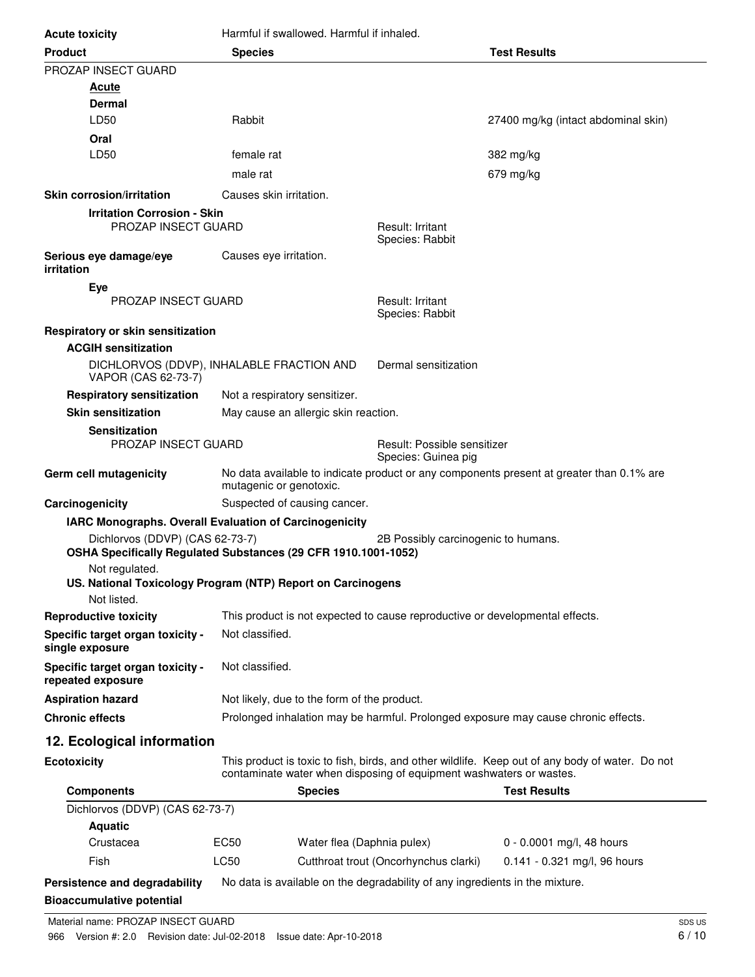| <b>Acute toxicity</b>                                             | Harmful if swallowed. Harmful if inhaled.                                                                           |                                                                                    |                                                                                                 |  |
|-------------------------------------------------------------------|---------------------------------------------------------------------------------------------------------------------|------------------------------------------------------------------------------------|-------------------------------------------------------------------------------------------------|--|
| <b>Product</b>                                                    | <b>Species</b>                                                                                                      |                                                                                    | <b>Test Results</b>                                                                             |  |
| PROZAP INSECT GUARD                                               |                                                                                                                     |                                                                                    |                                                                                                 |  |
| <u>Acute</u>                                                      |                                                                                                                     |                                                                                    |                                                                                                 |  |
| Dermal                                                            |                                                                                                                     |                                                                                    |                                                                                                 |  |
| LD50                                                              | Rabbit                                                                                                              |                                                                                    | 27400 mg/kg (intact abdominal skin)                                                             |  |
| Oral                                                              |                                                                                                                     |                                                                                    |                                                                                                 |  |
| LD50                                                              | female rat                                                                                                          |                                                                                    | 382 mg/kg                                                                                       |  |
|                                                                   | male rat                                                                                                            |                                                                                    | 679 mg/kg                                                                                       |  |
| <b>Skin corrosion/irritation</b>                                  | Causes skin irritation.                                                                                             |                                                                                    |                                                                                                 |  |
| <b>Irritation Corrosion - Skin</b><br><b>PROZAP INSECT GUARD</b>  |                                                                                                                     | Result: Irritant                                                                   |                                                                                                 |  |
|                                                                   |                                                                                                                     | Species: Rabbit                                                                    |                                                                                                 |  |
| Serious eye damage/eye                                            | Causes eye irritation.                                                                                              |                                                                                    |                                                                                                 |  |
| irritation                                                        |                                                                                                                     |                                                                                    |                                                                                                 |  |
| Eye<br>PROZAP INSECT GUARD                                        |                                                                                                                     | Result: Irritant                                                                   |                                                                                                 |  |
|                                                                   |                                                                                                                     | Species: Rabbit                                                                    |                                                                                                 |  |
| Respiratory or skin sensitization                                 |                                                                                                                     |                                                                                    |                                                                                                 |  |
| <b>ACGIH sensitization</b>                                        |                                                                                                                     |                                                                                    |                                                                                                 |  |
| VAPOR (CAS 62-73-7)                                               | DICHLORVOS (DDVP), INHALABLE FRACTION AND                                                                           | Dermal sensitization                                                               |                                                                                                 |  |
| <b>Respiratory sensitization</b>                                  | Not a respiratory sensitizer.                                                                                       |                                                                                    |                                                                                                 |  |
| <b>Skin sensitization</b>                                         | May cause an allergic skin reaction.                                                                                |                                                                                    |                                                                                                 |  |
| <b>Sensitization</b>                                              |                                                                                                                     |                                                                                    |                                                                                                 |  |
| <b>PROZAP INSECT GUARD</b>                                        |                                                                                                                     | Result: Possible sensitizer<br>Species: Guinea pig                                 |                                                                                                 |  |
| Germ cell mutagenicity                                            | No data available to indicate product or any components present at greater than 0.1% are<br>mutagenic or genotoxic. |                                                                                    |                                                                                                 |  |
| Carcinogenicity                                                   | Suspected of causing cancer.                                                                                        |                                                                                    |                                                                                                 |  |
|                                                                   | IARC Monographs. Overall Evaluation of Carcinogenicity                                                              |                                                                                    |                                                                                                 |  |
| Dichlorvos (DDVP) (CAS 62-73-7)                                   |                                                                                                                     | 2B Possibly carcinogenic to humans.                                                |                                                                                                 |  |
| Not regulated.                                                    | OSHA Specifically Regulated Substances (29 CFR 1910.1001-1052)                                                      |                                                                                    |                                                                                                 |  |
|                                                                   | US. National Toxicology Program (NTP) Report on Carcinogens                                                         |                                                                                    |                                                                                                 |  |
| Not listed.                                                       |                                                                                                                     |                                                                                    |                                                                                                 |  |
| <b>Reproductive toxicity</b>                                      | This product is not expected to cause reproductive or developmental effects.                                        |                                                                                    |                                                                                                 |  |
| Specific target organ toxicity -<br>single exposure               | Not classified.                                                                                                     |                                                                                    |                                                                                                 |  |
| Specific target organ toxicity -<br>repeated exposure             | Not classified.                                                                                                     |                                                                                    |                                                                                                 |  |
| <b>Aspiration hazard</b>                                          |                                                                                                                     | Not likely, due to the form of the product.                                        |                                                                                                 |  |
| <b>Chronic effects</b>                                            |                                                                                                                     | Prolonged inhalation may be harmful. Prolonged exposure may cause chronic effects. |                                                                                                 |  |
| 12. Ecological information                                        |                                                                                                                     |                                                                                    |                                                                                                 |  |
| <b>Ecotoxicity</b>                                                |                                                                                                                     |                                                                                    | This product is toxic to fish, birds, and other wildlife. Keep out of any body of water. Do not |  |
|                                                                   | contaminate water when disposing of equipment washwaters or wastes.                                                 |                                                                                    |                                                                                                 |  |
| <b>Components</b>                                                 | <b>Species</b>                                                                                                      |                                                                                    | <b>Test Results</b>                                                                             |  |
| Dichlorvos (DDVP) (CAS 62-73-7)<br><b>Aquatic</b>                 |                                                                                                                     |                                                                                    |                                                                                                 |  |
| Crustacea                                                         | EC50<br>Water flea (Daphnia pulex)                                                                                  |                                                                                    | 0 - 0.0001 mg/l, 48 hours                                                                       |  |
| Fish                                                              | LC50                                                                                                                | Cutthroat trout (Oncorhynchus clarki)                                              | 0.141 - 0.321 mg/l, 96 hours                                                                    |  |
|                                                                   |                                                                                                                     |                                                                                    |                                                                                                 |  |
| Persistence and degradability<br><b>Bioaccumulative potential</b> | No data is available on the degradability of any ingredients in the mixture.                                        |                                                                                    |                                                                                                 |  |
|                                                                   |                                                                                                                     |                                                                                    |                                                                                                 |  |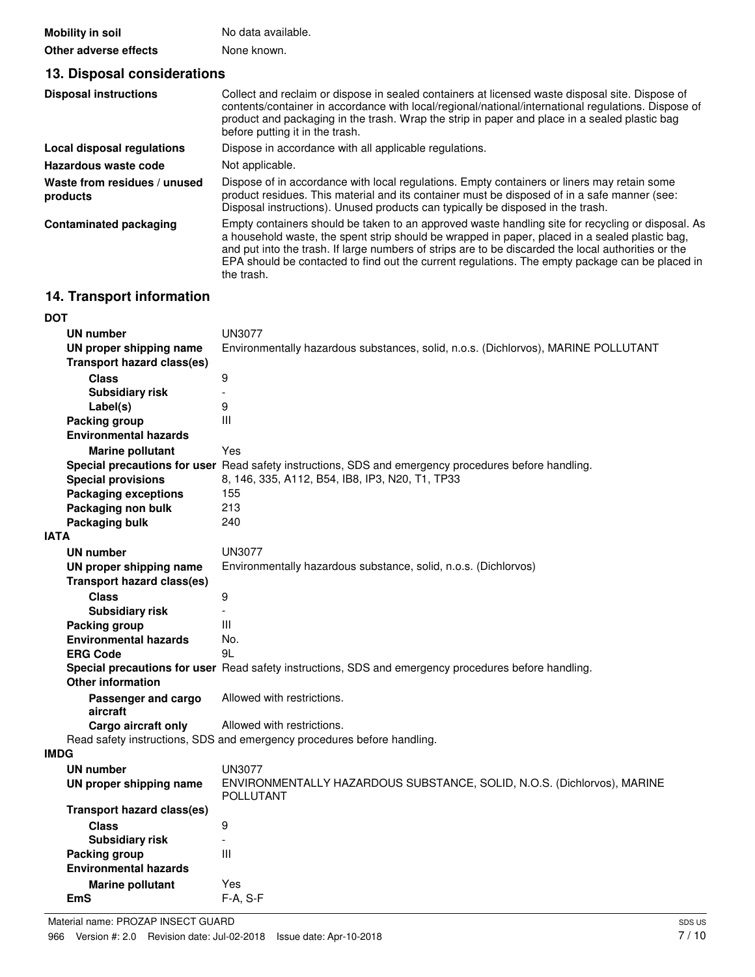| Mobility in soil      | No data available. |
|-----------------------|--------------------|
| Other adverse effects | None known.        |

| 13. Disposal considerations              |                                                                                                                                                                                                                                                                                                                                                                                                                             |  |  |  |
|------------------------------------------|-----------------------------------------------------------------------------------------------------------------------------------------------------------------------------------------------------------------------------------------------------------------------------------------------------------------------------------------------------------------------------------------------------------------------------|--|--|--|
| <b>Disposal instructions</b>             | Collect and reclaim or dispose in sealed containers at licensed waste disposal site. Dispose of<br>contents/container in accordance with local/regional/national/international regulations. Dispose of<br>product and packaging in the trash. Wrap the strip in paper and place in a sealed plastic bag<br>before putting it in the trash.                                                                                  |  |  |  |
| Local disposal regulations               | Dispose in accordance with all applicable regulations.                                                                                                                                                                                                                                                                                                                                                                      |  |  |  |
| Hazardous waste code                     | Not applicable.                                                                                                                                                                                                                                                                                                                                                                                                             |  |  |  |
| Waste from residues / unused<br>products | Dispose of in accordance with local regulations. Empty containers or liners may retain some<br>product residues. This material and its container must be disposed of in a safe manner (see:<br>Disposal instructions). Unused products can typically be disposed in the trash.                                                                                                                                              |  |  |  |
| <b>Contaminated packaging</b>            | Empty containers should be taken to an approved waste handling site for recycling or disposal. As<br>a household waste, the spent strip should be wrapped in paper, placed in a sealed plastic bag,<br>and put into the trash. If large numbers of strips are to be discarded the local authorities or the<br>EPA should be contacted to find out the current regulations. The empty package can be placed in<br>the trash. |  |  |  |

## **14. Transport information**

| <b>DOT</b>  |                                   |                                                                                                      |
|-------------|-----------------------------------|------------------------------------------------------------------------------------------------------|
|             | UN number                         | UN3077                                                                                               |
|             | UN proper shipping name           | Environmentally hazardous substances, solid, n.o.s. (Dichlorvos), MARINE POLLUTANT                   |
|             | <b>Transport hazard class(es)</b> |                                                                                                      |
|             | <b>Class</b>                      | 9                                                                                                    |
|             | <b>Subsidiary risk</b>            | $\overline{a}$                                                                                       |
|             | Label(s)                          | 9                                                                                                    |
|             | <b>Packing group</b>              | Ш                                                                                                    |
|             | <b>Environmental hazards</b>      |                                                                                                      |
|             | <b>Marine pollutant</b>           | Yes                                                                                                  |
|             |                                   | Special precautions for user Read safety instructions, SDS and emergency procedures before handling. |
|             | <b>Special provisions</b>         | 8, 146, 335, A112, B54, IB8, IP3, N20, T1, TP33                                                      |
|             | <b>Packaging exceptions</b>       | 155                                                                                                  |
|             | Packaging non bulk                | 213                                                                                                  |
|             | Packaging bulk                    | 240                                                                                                  |
| <b>IATA</b> |                                   |                                                                                                      |
|             | UN number                         | <b>UN3077</b>                                                                                        |
|             | UN proper shipping name           | Environmentally hazardous substance, solid, n.o.s. (Dichlorvos)                                      |
|             | <b>Transport hazard class(es)</b> |                                                                                                      |
|             | <b>Class</b>                      | 9                                                                                                    |
|             | <b>Subsidiary risk</b>            | $\overline{\phantom{a}}$                                                                             |
|             | Packing group                     | Ш                                                                                                    |
|             | <b>Environmental hazards</b>      | No.                                                                                                  |
|             | <b>ERG Code</b>                   | 9L                                                                                                   |
|             |                                   | Special precautions for user Read safety instructions, SDS and emergency procedures before handling. |
|             | <b>Other information</b>          |                                                                                                      |
|             | Passenger and cargo               | Allowed with restrictions.                                                                           |
|             | aircraft                          |                                                                                                      |
|             | Cargo aircraft only               | Allowed with restrictions.                                                                           |
|             |                                   | Read safety instructions, SDS and emergency procedures before handling.                              |
| <b>IMDG</b> |                                   |                                                                                                      |
|             | UN number                         | <b>UN3077</b>                                                                                        |
|             | UN proper shipping name           | ENVIRONMENTALLY HAZARDOUS SUBSTANCE, SOLID, N.O.S. (Dichlorvos), MARINE<br>POLLUTANT                 |
|             | <b>Transport hazard class(es)</b> |                                                                                                      |
|             | <b>Class</b>                      | 9                                                                                                    |
|             | <b>Subsidiary risk</b>            |                                                                                                      |
|             | Packing group                     | $\mathbf{III}$                                                                                       |
|             | <b>Environmental hazards</b>      |                                                                                                      |
|             | <b>Marine pollutant</b>           | Yes                                                                                                  |
|             | <b>EmS</b>                        | F-A, S-F                                                                                             |
|             |                                   |                                                                                                      |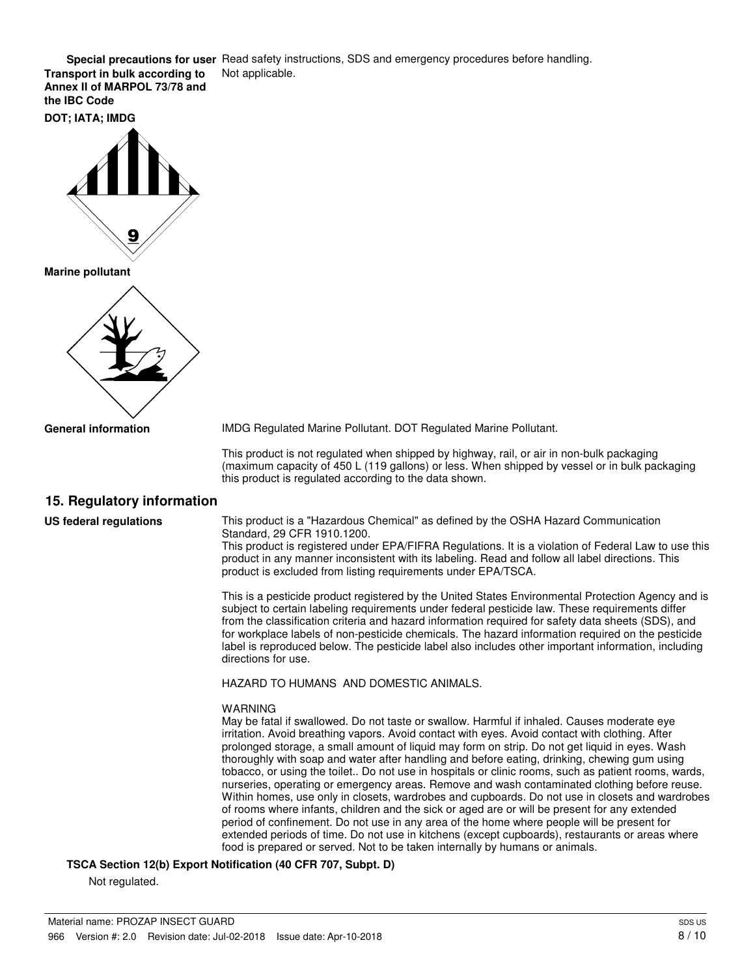**Special precautions for user** Read safety instructions, SDS and emergency procedures before handling. **Transport in bulk according to** Not applicable.

**Annex II of MARPOL 73/78 and the IBC Code**

**DOT; IATA; IMDG**



**Marine pollutant**



**General information**

IMDG Regulated Marine Pollutant. DOT Regulated Marine Pollutant.

This product is not regulated when shipped by highway, rail, or air in non-bulk packaging (maximum capacity of 450 L (119 gallons) or less. When shipped by vessel or in bulk packaging this product is regulated according to the data shown.

#### **15. Regulatory information**

**US federal regulations**

This product is a "Hazardous Chemical" as defined by the OSHA Hazard Communication Standard, 29 CFR 1910.1200.

This product is registered under EPA/FIFRA Regulations. It is a violation of Federal Law to use this product in any manner inconsistent with its labeling. Read and follow all label directions. This product is excluded from listing requirements under EPA/TSCA.

This is a pesticide product registered by the United States Environmental Protection Agency and is subject to certain labeling requirements under federal pesticide law. These requirements differ from the classification criteria and hazard information required for safety data sheets (SDS), and for workplace labels of non-pesticide chemicals. The hazard information required on the pesticide label is reproduced below. The pesticide label also includes other important information, including directions for use.

HAZARD TO HUMANS AND DOMESTIC ANIMALS.

#### WARNING

May be fatal if swallowed. Do not taste or swallow. Harmful if inhaled. Causes moderate eye irritation. Avoid breathing vapors. Avoid contact with eyes. Avoid contact with clothing. After prolonged storage, a small amount of liquid may form on strip. Do not get liquid in eyes. Wash thoroughly with soap and water after handling and before eating, drinking, chewing gum using tobacco, or using the toilet.. Do not use in hospitals or clinic rooms, such as patient rooms, wards, nurseries, operating or emergency areas. Remove and wash contaminated clothing before reuse. Within homes, use only in closets, wardrobes and cupboards. Do not use in closets and wardrobes of rooms where infants, children and the sick or aged are or will be present for any extended period of confinement. Do not use in any area of the home where people will be present for extended periods of time. Do not use in kitchens (except cupboards), restaurants or areas where food is prepared or served. Not to be taken internally by humans or animals.

**TSCA Section 12(b) Export Notification (40 CFR 707, Subpt. D)**

Not regulated.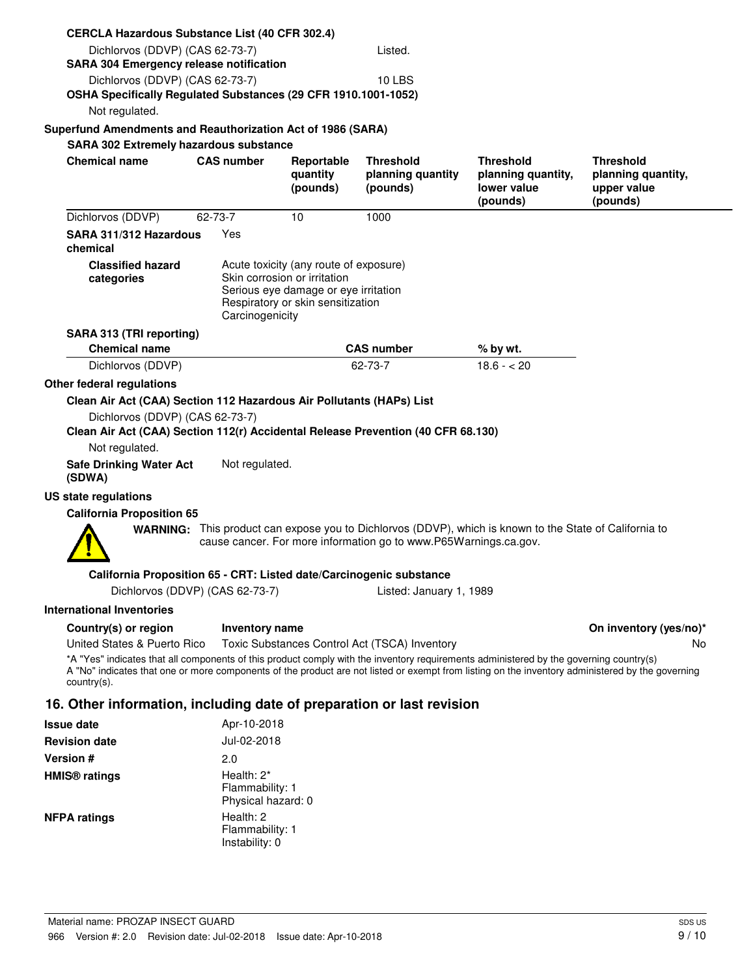| <b>CERCLA Hazardous Substance List (40 CFR 302.4)</b>                                                                                                                                                                                                                                                     |                                                                                                                                                                                    |                      |                                               |                                               |                                               |  |
|-----------------------------------------------------------------------------------------------------------------------------------------------------------------------------------------------------------------------------------------------------------------------------------------------------------|------------------------------------------------------------------------------------------------------------------------------------------------------------------------------------|----------------------|-----------------------------------------------|-----------------------------------------------|-----------------------------------------------|--|
| Dichlorvos (DDVP) (CAS 62-73-7)<br><b>SARA 304 Emergency release notification</b>                                                                                                                                                                                                                         |                                                                                                                                                                                    |                      | Listed.                                       |                                               |                                               |  |
| Dichlorvos (DDVP) (CAS 62-73-7)                                                                                                                                                                                                                                                                           |                                                                                                                                                                                    |                      | <b>10 LBS</b>                                 |                                               |                                               |  |
| OSHA Specifically Regulated Substances (29 CFR 1910.1001-1052)                                                                                                                                                                                                                                            |                                                                                                                                                                                    |                      |                                               |                                               |                                               |  |
| Not regulated.                                                                                                                                                                                                                                                                                            |                                                                                                                                                                                    |                      |                                               |                                               |                                               |  |
| Superfund Amendments and Reauthorization Act of 1986 (SARA)<br><b>SARA 302 Extremely hazardous substance</b>                                                                                                                                                                                              |                                                                                                                                                                                    |                      |                                               |                                               |                                               |  |
| <b>Chemical name</b>                                                                                                                                                                                                                                                                                      | <b>CAS number</b>                                                                                                                                                                  | Reportable           | <b>Threshold</b>                              | <b>Threshold</b>                              | <b>Threshold</b>                              |  |
|                                                                                                                                                                                                                                                                                                           |                                                                                                                                                                                    | quantity<br>(pounds) | planning quantity<br>(pounds)                 | planning quantity,<br>lower value<br>(pounds) | planning quantity,<br>upper value<br>(pounds) |  |
| Dichlorvos (DDVP)                                                                                                                                                                                                                                                                                         | 62-73-7                                                                                                                                                                            | 10                   | 1000                                          |                                               |                                               |  |
| SARA 311/312 Hazardous<br>chemical                                                                                                                                                                                                                                                                        | Yes                                                                                                                                                                                |                      |                                               |                                               |                                               |  |
| <b>Classified hazard</b><br>categories                                                                                                                                                                                                                                                                    | Acute toxicity (any route of exposure)<br>Skin corrosion or irritation<br>Serious eye damage or eye irritation<br>Respiratory or skin sensitization<br>Carcinogenicity             |                      |                                               |                                               |                                               |  |
| SARA 313 (TRI reporting)<br><b>Chemical name</b>                                                                                                                                                                                                                                                          |                                                                                                                                                                                    |                      | <b>CAS number</b>                             | $%$ by wt.                                    |                                               |  |
| Dichlorvos (DDVP)                                                                                                                                                                                                                                                                                         |                                                                                                                                                                                    |                      | 62-73-7                                       | $18.6 - 20$                                   |                                               |  |
| Other federal regulations                                                                                                                                                                                                                                                                                 |                                                                                                                                                                                    |                      |                                               |                                               |                                               |  |
| Clean Air Act (CAA) Section 112 Hazardous Air Pollutants (HAPs) List                                                                                                                                                                                                                                      |                                                                                                                                                                                    |                      |                                               |                                               |                                               |  |
| Dichlorvos (DDVP) (CAS 62-73-7)<br>Clean Air Act (CAA) Section 112(r) Accidental Release Prevention (40 CFR 68.130)<br>Not regulated.                                                                                                                                                                     |                                                                                                                                                                                    |                      |                                               |                                               |                                               |  |
| <b>Safe Drinking Water Act</b><br>(SDWA)                                                                                                                                                                                                                                                                  | Not regulated.                                                                                                                                                                     |                      |                                               |                                               |                                               |  |
| US state regulations                                                                                                                                                                                                                                                                                      |                                                                                                                                                                                    |                      |                                               |                                               |                                               |  |
| <b>California Proposition 65</b>                                                                                                                                                                                                                                                                          |                                                                                                                                                                                    |                      |                                               |                                               |                                               |  |
|                                                                                                                                                                                                                                                                                                           | <b>WARNING:</b> This product can expose you to Dichlorvos (DDVP), which is known to the State of California to<br>cause cancer. For more information go to www.P65Warnings.ca.gov. |                      |                                               |                                               |                                               |  |
| California Proposition 65 - CRT: Listed date/Carcinogenic substance                                                                                                                                                                                                                                       |                                                                                                                                                                                    |                      |                                               |                                               |                                               |  |
| Dichlorvos (DDVP) (CAS 62-73-7)                                                                                                                                                                                                                                                                           |                                                                                                                                                                                    |                      | Listed: January 1, 1989                       |                                               |                                               |  |
| <b>International Inventories</b>                                                                                                                                                                                                                                                                          |                                                                                                                                                                                    |                      |                                               |                                               |                                               |  |
| Country(s) or region<br>United States & Puerto Rico                                                                                                                                                                                                                                                       | Inventory name                                                                                                                                                                     |                      | Toxic Substances Control Act (TSCA) Inventory |                                               | On inventory (yes/no)*<br>No.                 |  |
| *A "Yes" indicates that all components of this product comply with the inventory requirements administered by the governing country(s)<br>A "No" indicates that one or more components of the product are not listed or exempt from listing on the inventory administered by the governing<br>country(s). |                                                                                                                                                                                    |                      |                                               |                                               |                                               |  |
| 16. Other information, including date of preparation or last revision                                                                                                                                                                                                                                     |                                                                                                                                                                                    |                      |                                               |                                               |                                               |  |
| <b>Issue date</b>                                                                                                                                                                                                                                                                                         | Apr-10-2018                                                                                                                                                                        |                      |                                               |                                               |                                               |  |
| <b>Revision date</b>                                                                                                                                                                                                                                                                                      | Jul-02-2018                                                                                                                                                                        |                      |                                               |                                               |                                               |  |
| Version #                                                                                                                                                                                                                                                                                                 | 2.0                                                                                                                                                                                |                      |                                               |                                               |                                               |  |
| <b>HMIS<sup>®</sup></b> ratings                                                                                                                                                                                                                                                                           | Health: 2*<br>Flammability: 1<br>Physical hazard: 0                                                                                                                                |                      |                                               |                                               |                                               |  |
| <b>NFPA ratings</b>                                                                                                                                                                                                                                                                                       | Health: 2<br>Flammability: 1<br>Instability: 0                                                                                                                                     |                      |                                               |                                               |                                               |  |